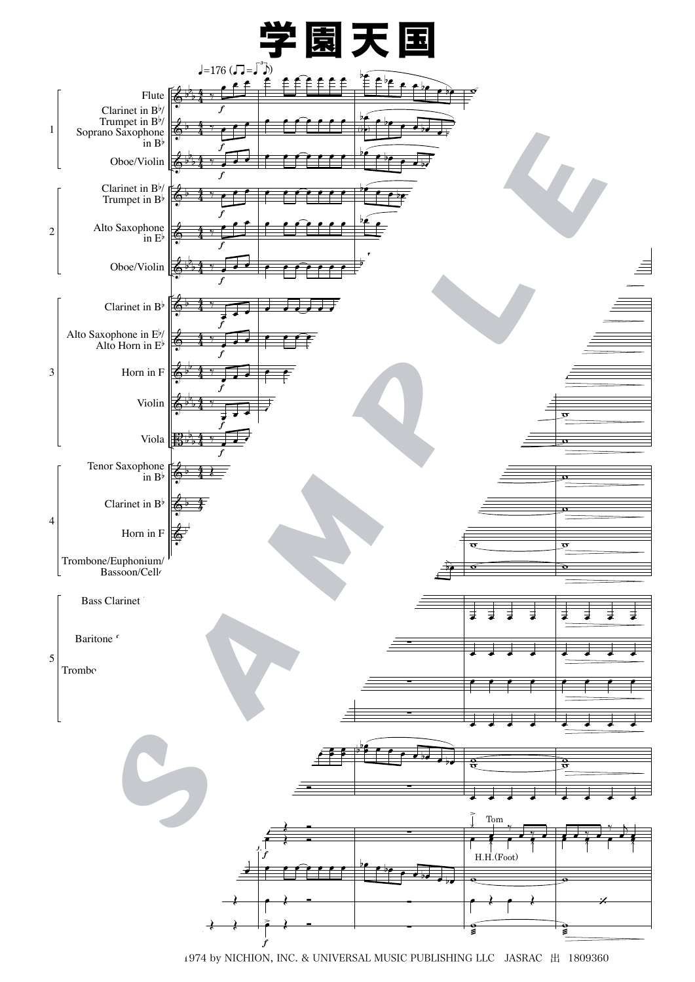

<sup>Ⓒ1974</sup> by NICHION, INC. & UNIVERSAL MUSIC PUBLISHING LLC JASRAC 出 1809360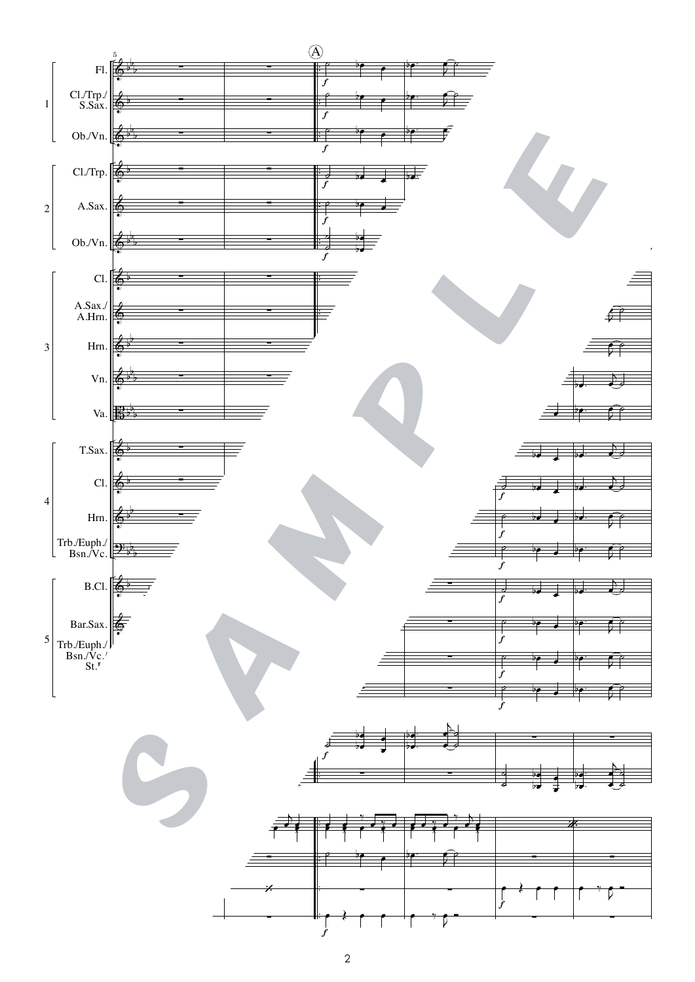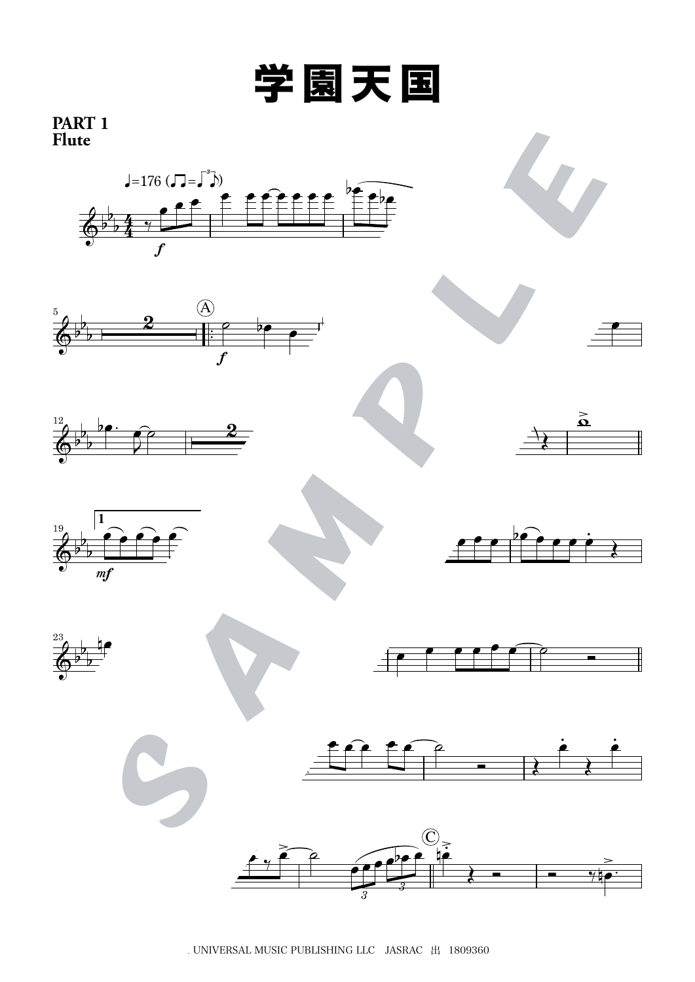

井上忠夫

## **PART 1 Flute**



. UNIVERSAL MUSIC PUBLISHING LLC  $\,$  JASRAC  $\,$   $\rm H$   $\,$  1809360  $\,$ 

*3*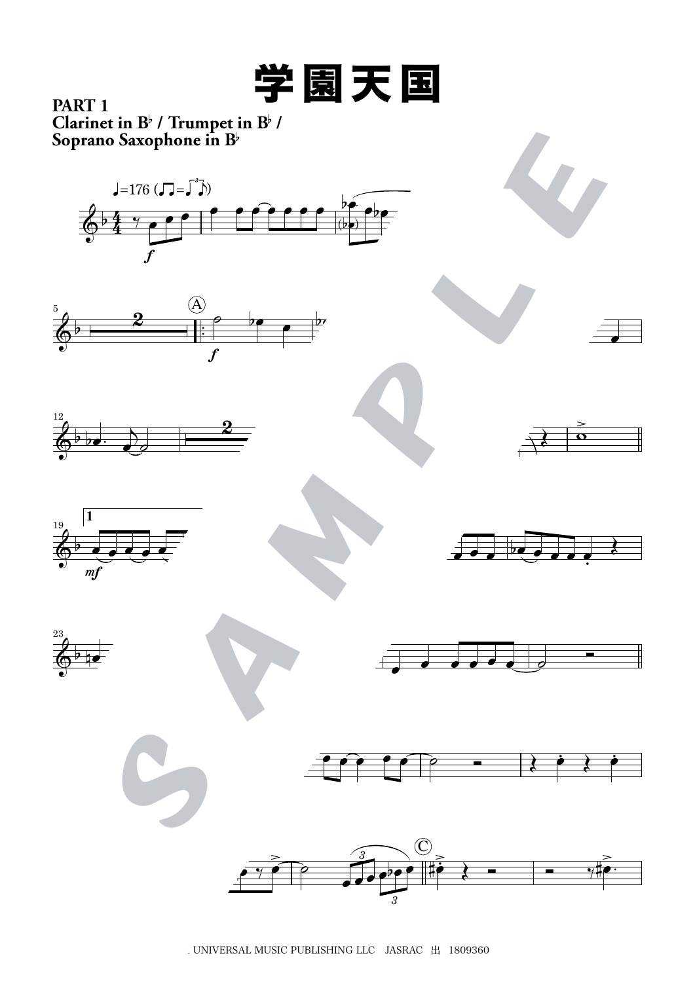

井上忠夫

 $\overline{\text{Clarinet in B}}$ <sup>b</sup> / Trumpet in  $\overline{\text{B}}$ <sup>b</sup> / **Soprano Saxophone in B**b